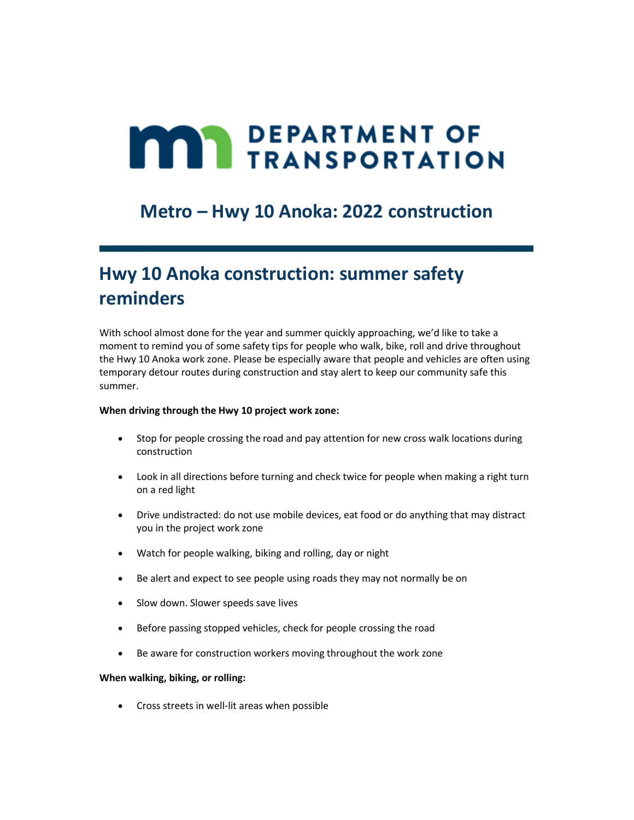# **MAN DEPARTMENT OF TRANSPORTATION**

### **Metro – Hwy 10 Anoka: 2022 construction**

# **Hwy 10 Anoka construction: summer safety reminders**

With school almost done for the year and summer quickly approaching, we'd like to take a moment to remind you of some safety tips for people who walk, bike, roll and drive throughout the Hwy 10 Anoka work zone. Please be especially aware that people and vehicles are often using temporary detour routes during construction and stay alert to keep our community safe this summer.

#### **When driving through the Hwy 10 project work zone:**

- Stop for people crossing the road and pay attention for new cross walk locations during construction
- Look in all directions before turning and check twice for people when making a right turn on a red light
- Drive undistracted: do not use mobile devices, eat food or do anything that may distract you in the project work zone
- Watch for people walking, biking and rolling, day or night
- Be alert and expect to see people using roads they may not normally be on
- Slow down. Slower speeds save lives
- Before passing stopped vehicles, check for people crossing the road
- Be aware for construction workers moving throughout the work zone

#### **When walking, biking, or rolling:**

• Cross streets in well-lit areas when possible